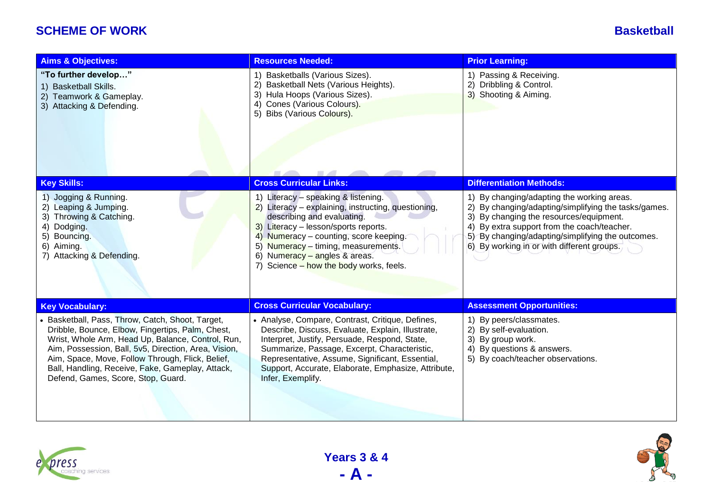## **SCHEME OF WORK Basketball**

| <b>Aims &amp; Objectives:</b>                                                                                                                                                                                                                                                                                                                                   | <b>Resources Needed:</b>                                                                                                                                                                                                                                                                                                              | <b>Prior Learning:</b>                                                                                                                                                                                                                                                                                   |
|-----------------------------------------------------------------------------------------------------------------------------------------------------------------------------------------------------------------------------------------------------------------------------------------------------------------------------------------------------------------|---------------------------------------------------------------------------------------------------------------------------------------------------------------------------------------------------------------------------------------------------------------------------------------------------------------------------------------|----------------------------------------------------------------------------------------------------------------------------------------------------------------------------------------------------------------------------------------------------------------------------------------------------------|
| "To further develop"<br>1) Basketball Skills.<br>2) Teamwork & Gameplay.<br>3) Attacking & Defending.                                                                                                                                                                                                                                                           | 1) Basketballs (Various Sizes).<br>2)<br>Basketball Nets (Various Heights).<br>3) Hula Hoops (Various Sizes).<br>Cones (Various Colours).<br>4)<br>5) Bibs (Various Colours).                                                                                                                                                         | 1) Passing & Receiving.<br>2) Dribbling & Control.<br>3) Shooting & Aiming.                                                                                                                                                                                                                              |
| <b>Key Skills:</b>                                                                                                                                                                                                                                                                                                                                              | <b>Cross Curricular Links:</b>                                                                                                                                                                                                                                                                                                        | <b>Differentiation Methods:</b>                                                                                                                                                                                                                                                                          |
| 1) Jogging & Running.<br>2) Leaping & Jumping.<br>3) Throwing & Catching.<br>4) Dodging.<br>5) Bouncing.<br>6) Aiming.<br>7) Attacking & Defending.                                                                                                                                                                                                             | 1) Literacy - speaking & listening.<br>2) Literacy - explaining, instructing, questioning,<br>describing and evaluating.<br>3) Literacy - lesson/sports reports.<br>4) Numeracy - counting, score keeping.<br>5) Numeracy - timing, measurements.<br>6) Numeracy - angles & areas.<br>7) Science - how the body works, feels.         | 1) By changing/adapting the working areas.<br>2) By changing/adapting/simplifying the tasks/games.<br>3)<br>By changing the resources/equipment.<br>By extra support from the coach/teacher.<br>4)<br>By changing/adapting/simplifying the outcomes.<br>5)<br>6) By working in or with different groups. |
| <b>Key Vocabulary:</b>                                                                                                                                                                                                                                                                                                                                          | <b>Cross Curricular Vocabulary:</b>                                                                                                                                                                                                                                                                                                   | <b>Assessment Opportunities:</b>                                                                                                                                                                                                                                                                         |
| • Basketball, Pass, Throw, Catch, Shoot, Target,<br>Dribble, Bounce, Elbow, Fingertips, Palm, Chest,<br>Wrist, Whole Arm, Head Up, Balance, Control, Run,<br>Aim, Possession, Ball, 5v5, Direction, Area, Vision,<br>Aim, Space, Move, Follow Through, Flick, Belief,<br>Ball, Handling, Receive, Fake, Gameplay, Attack,<br>Defend, Games, Score, Stop, Guard. | • Analyse, Compare, Contrast, Critique, Defines,<br>Describe, Discuss, Evaluate, Explain, Illustrate,<br>Interpret, Justify, Persuade, Respond, State,<br>Summarize, Passage, Excerpt, Characteristic,<br>Representative, Assume, Significant, Essential,<br>Support, Accurate, Elaborate, Emphasize, Attribute,<br>Infer, Exemplify. | 1) By peers/classmates.<br>2) By self-evaluation.<br>3)<br>By group work.<br>4)<br>By questions & answers.<br>5) By coach/teacher observations.                                                                                                                                                          |